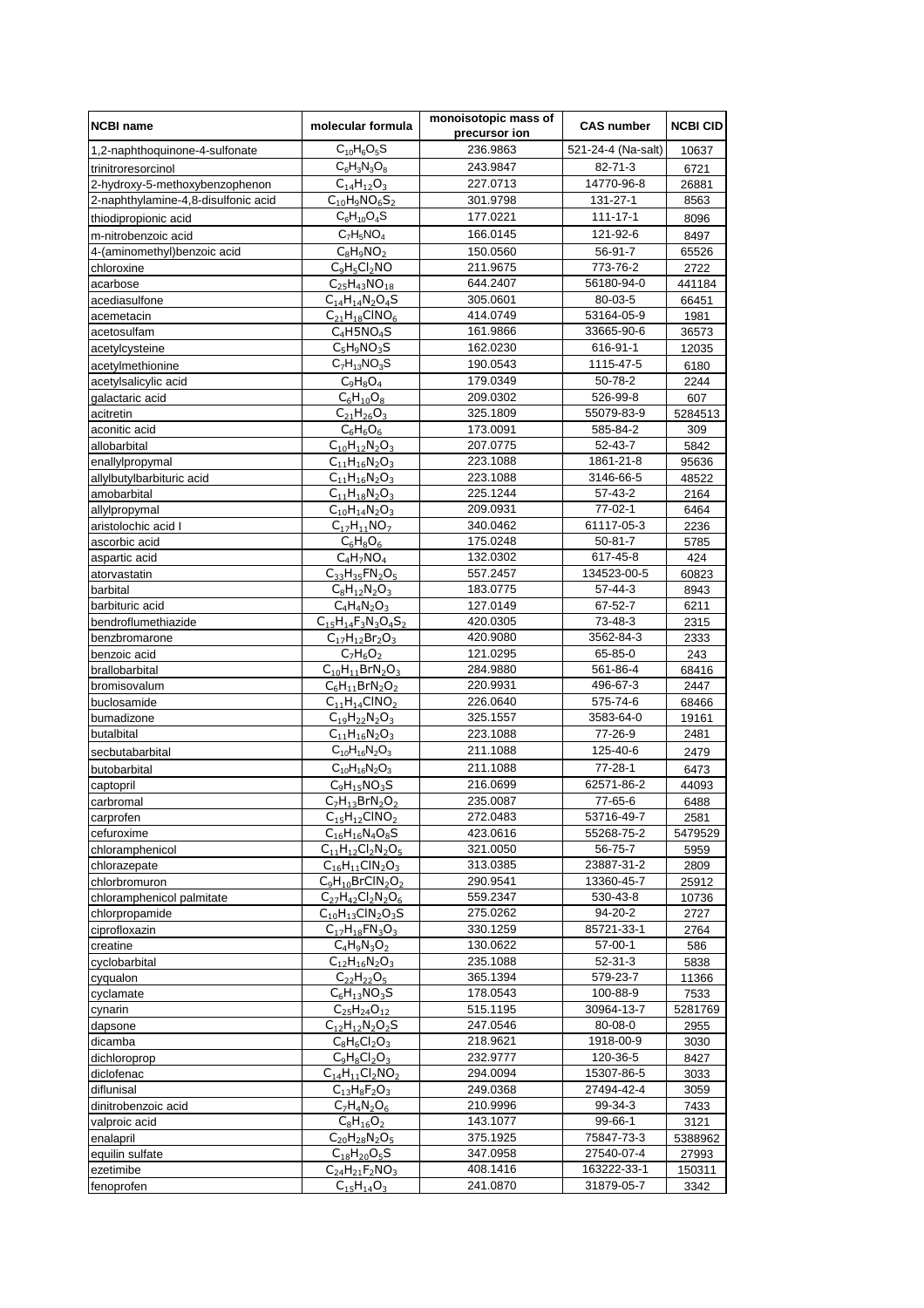| <b>NCBI name</b>                    | molecular formula                               | monoisotopic mass of<br>precursor ion | <b>CAS number</b>         | <b>NCBI CID</b> |
|-------------------------------------|-------------------------------------------------|---------------------------------------|---------------------------|-----------------|
| 1,2-naphthoquinone-4-sulfonate      | $C_{10}H_6O_5S$                                 | 236.9863                              | 521-24-4 (Na-salt)        | 10637           |
| trinitroresorcinol                  | $C_6H_3N_3O_8$                                  | 243.9847                              | 82-71-3                   | 6721            |
| 2-hydroxy-5-methoxybenzophenon      | $C_{14}H_{12}O_3$                               | 227.0713                              | 14770-96-8                | 26881           |
| 2-naphthylamine-4,8-disulfonic acid | $\overline{C_{10}}H_9NO_6S_2$                   | 301.9798                              | 131-27-1                  | 8563            |
| thiodipropionic acid                | $C_6H_{10}O_4S$                                 | 177.0221                              | 111-17-1                  | 8096            |
| m-nitrobenzoic acid                 | $C_7H_5NO_4$                                    | 166.0145                              | 121-92-6                  | 8497            |
| 4-(aminomethyl)benzoic acid         | $C_8H_9NO_2$                                    | 150.0560                              | 56-91-7                   | 65526           |
| chloroxine                          | $C_9H_5Cl_2NO$                                  | 211.9675                              | 773-76-2                  | 2722            |
| acarbose                            | $C_{25}H_{43}NO_{18}$                           | 644.2407                              | 56180-94-0                | 441184          |
| acediasulfone                       | $C_{14}H_{14}N_2O_4S$                           | 305.0601                              | 80-03-5                   | 66451           |
| acemetacin                          | $C_{21}H_{18}CINO_6$                            | 414.0749                              | 53164-05-9                | 1981            |
| acetosulfam                         | $C_4$ H5NO <sub>4</sub> S                       | 161.9866                              | 33665-90-6                | 36573           |
| acetylcysteine                      | $C_5H_9NO_3S$                                   | 162.0230                              | 616-91-1                  | 12035           |
| acetylmethionine                    | $C_7H_{13}NO_3S$                                | 190.0543                              | 1115-47-5                 | 6180            |
| acetylsalicylic acid                | $C_9H_8O_4$                                     | 179.0349                              | 50-78-2                   | 2244            |
| galactaric acid                     | $C_6H_{10}O_8$                                  | 209.0302                              | 526-99-8                  | 607             |
| acitretin                           | $C_{21}H_{26}O_3$                               | 325.1809                              | 55079-83-9                | 5284513         |
| aconitic acid                       | $C_6H_6O_6$                                     | 173.0091                              | 585-84-2                  | 309             |
| allobarbital                        | $C_{10}H_{12}N_2O_3$                            | 207.0775                              | 52-43-7                   | 5842            |
| enallylpropymal                     | $C_{11}H_{16}N_2O_3$                            | 223.1088                              | 1861-21-8                 | 95636           |
| allylbutylbarbituric acid           | $C_{11}H_{16}N_2O_3$                            | 223.1088                              | 3146-66-5                 | 48522           |
| amobarbital                         | $C_{11}H_{18}N_2O_3$                            | 225.1244                              | 57-43-2                   | 2164            |
| allylpropymal                       | $C_{10}H_{14}N_2O_3$                            | 209.0931                              | 77-02-1                   | 6464            |
| aristolochic acid I                 | $C_{17}H_{11}NO_7$                              | 340.0462                              | 61117-05-3                | 2236            |
| ascorbic acid                       | $C_6H_8O_6$                                     | 175.0248                              | $50 - 81 - 7$             | 5785            |
| aspartic acid                       | $C_4H_7NO_4$                                    | 132.0302                              | 617-45-8                  | 424             |
| atorvastatin                        | $C_{33}H_{35}FN_2O_5$                           | 557.2457                              | 134523-00-5               | 60823           |
| barbital                            | $C_8H_{12}N_2O_3$                               | 183.0775                              | 57-44-3                   | 8943            |
| barbituric acid                     | $C_4H_4N_2O_3$                                  | 127.0149                              | 67-52-7                   | 6211            |
| bendroflumethiazide                 | $C_{15}H_{14}F_3N_3O_4S_2$                      | 420.0305                              | 73-48-3                   | 2315            |
| benzbromarone                       | $C_{17}H_{12}Br_2O_3$                           | 420.9080                              | 3562-84-3                 | 2333            |
| benzoic acid                        | $C_7H_6O_2$                                     | 121.0295                              | 65-85-0                   | 243             |
| brallobarbital                      | $C_{10}H_{11}BrN_2O_3$<br>$C_6H_{11}BrN_2O_2$   | 284.9880<br>220.9931                  | 561-86-4<br>496-67-3      | 68416<br>2447   |
| bromisovalum<br>buclosamide         | $C_{11}H_{14}CINO_2$                            | 226.0640                              | 575-74-6                  | 68466           |
| bumadizone                          | $C_{19}H_{22}N_2O_3$                            | 325.1557                              | 3583-64-0                 | 19161           |
| butalbital                          | $C_{11}H_{16}N_2O_3$                            | 223.1088                              | 77-26-9                   | 2481            |
| secbutabarbital                     | $C_{10}H_{16}N_2O_3$                            | 211.1088                              | 125-40-6                  | 2479            |
| butobarbital                        | $\overline{C}_{10}H_{16}N_2O_3$                 | 211.1088                              | 77-28-1                   | 6473            |
| captopril                           | $C_9H_{15}NO_3S$                                | 216.0699                              | 62571-86-2                | 44093           |
| carbromal                           | $C_7H_{13}BrN_2O_2$                             | 235.0087                              | 77-65-6                   | 6488            |
| carprofen                           | $C_{15}H_{12}CINO_2$                            | 272.0483                              | 53716-49-7                | 2581            |
| cefuroxime                          | $C_{16}H_{16}N_4O_8S$                           | 423.0616                              | 55268-75-2                | 5479529         |
| chloramphenicol                     | $C_{11}H_{12}Cl_2N_2O_5$                        | 321.0050                              | 56-75-7                   | 5959            |
| chlorazepate                        | $C_{16}H_{11}CIN_2O_3$                          | 313.0385                              | 23887-31-2                | 2809            |
| chlorbromuron                       | $C_9H_{10}BrClN_2O_2$                           | 290.9541                              | 13360-45-7                | 25912           |
| chloramphenicol palmitate           | $C_{27}H_{42}Cl_{2}N_{2}O_{6}$                  | 559.2347                              | 530-43-8                  | 10736           |
| chlorpropamide                      | $C_{10}H_{13}CIN_2O_3S$                         | 275.0262                              | 94-20-2                   | 2727            |
| ciprofloxazin                       | $C_{17}H_{18}FN_{3}O_{3}$                       | 330.1259                              | 85721-33-1                | 2764            |
| creatine                            | $C_4H_9N_3O_2$                                  | 130.0622                              | $57-00-1$                 | 586             |
| cyclobarbital                       | $C_{12}H_{16}N_2O_3$                            | 235.1088                              | $52 - 31 - 3$             | 5838            |
| cyqualon                            | $C_{22}H_{22}O_5$                               | 365.1394                              | 579-23-7                  | 11366           |
| cyclamate                           | $C_6H_{13}NO_3S$                                | 178.0543                              | 100-88-9                  | 7533            |
| cynarin                             | $C_{25}H_{24}O_{12}$                            | 515.1195                              | 30964-13-7                | 5281769         |
| dapsone                             | $C_{12}H_{12}N_2O_2S$                           | 247.0546                              | 80-08-0                   | 2955            |
| dicamba                             | $C_8H_6Cl_2O_3$                                 | 218.9621                              | 1918-00-9                 | 3030            |
| dichloroprop                        | $C_9H_8Cl_2O_3$                                 | 232.9777                              | 120-36-5                  | 8427            |
| diclofenac                          | $C_{14}H_{11}Cl_2NO_2$                          | 294.0094                              | 15307-86-5                | 3033            |
| diflunisal                          | $C_{13}H_8F_2O_3$                               | 249.0368                              | 27494-42-4                | 3059            |
| dinitrobenzoic acid                 | $C_7H_4N_2O_6$                                  | 210.9996                              | 99-34-3                   | 7433            |
| valproic acid                       | $C_8H_{16}O_2$                                  | 143.1077                              | 99-66-1                   | 3121            |
| enalapril                           | $C_{20}H_{28}N_{2}O_{5}$                        | 375.1925                              | 75847-73-3                | 5388962         |
| equilin sulfate                     | $C_{18}H_{20}O_5S$<br>$C_{24}H_{21}F_{2}NO_{3}$ | 347.0958<br>408.1416                  | 27540-07-4<br>163222-33-1 | 27993           |
| ezetimibe<br>fenoprofen             | $C_{15}H_{14}O_3$                               | 241.0870                              | 31879-05-7                | 150311<br>3342  |
|                                     |                                                 |                                       |                           |                 |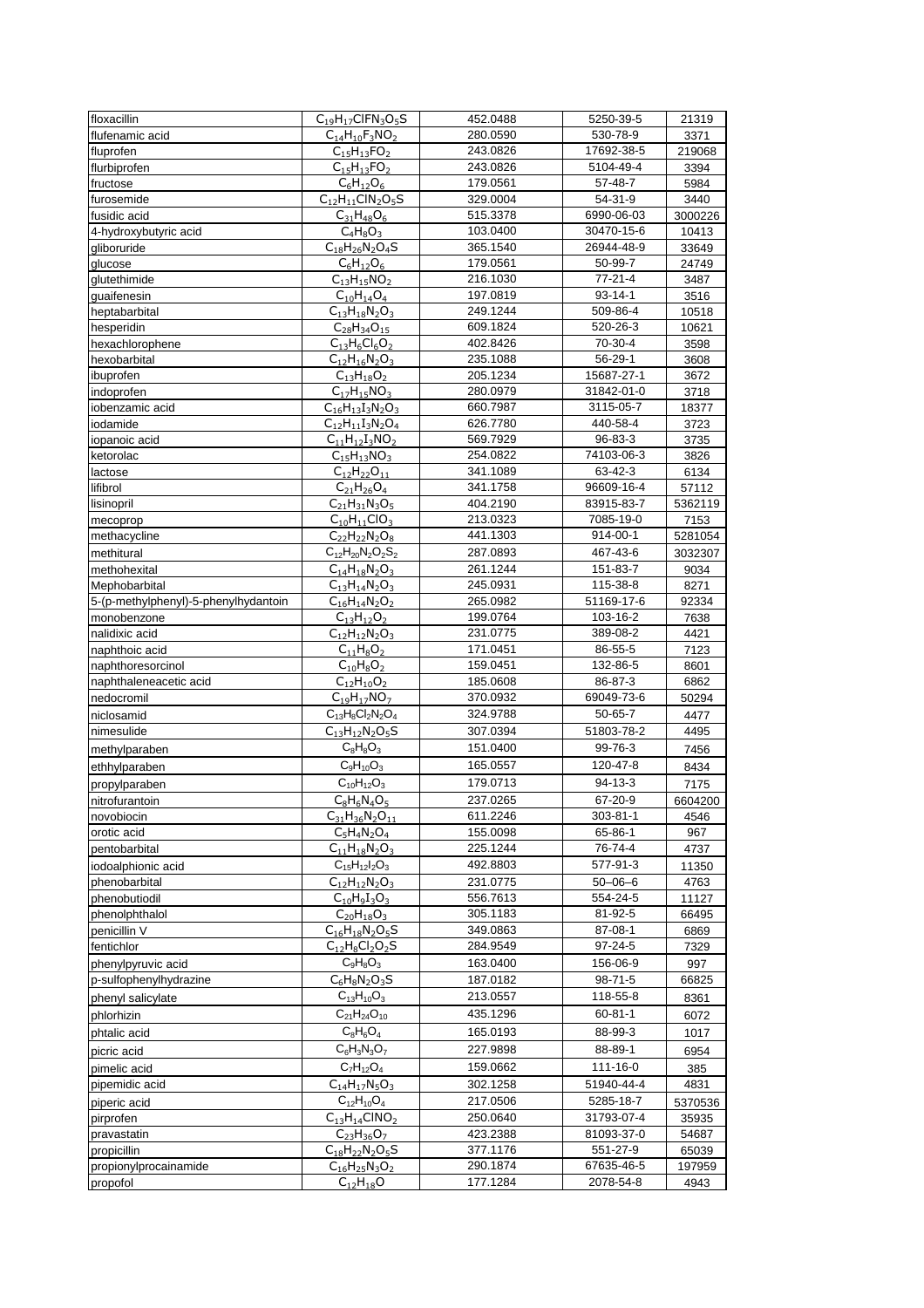| floxacillin                          | $C_{19}H_{17}CIFN_3O_5S$                      | 452.0488             | 5250-39-5              | 21319   |
|--------------------------------------|-----------------------------------------------|----------------------|------------------------|---------|
| flufenamic acid                      | $C_{14}H_{10}F_3NO_2$                         | 280.0590             | 530-78-9               | 3371    |
| fluprofen                            | $C_{15}H_{13}FO_2$                            | 243.0826             | 17692-38-5             | 219068  |
| flurbiprofen                         | $C_{15}H_{13}FO_2$                            | 243.0826             | 5104-49-4              | 3394    |
| fructose                             | $C_6H_{12}O_6$                                | 179.0561             | 57-48-7                | 5984    |
| furosemide                           | $C_{12}H_{11}CIN_2O_5S$                       | 329.0004             | 54-31-9                | 3440    |
| fusidic acid                         | $C_{31}H_{48}O_6$                             | 515.3378             | 6990-06-03             | 3000226 |
| 4-hydroxybutyric acid                | $C_4H_8O_3$                                   | 103.0400             | 30470-15-6             | 10413   |
| gliboruride                          | $C_{18}H_{26}N_{2}O_{4}S$                     | 365.1540             | 26944-48-9             | 33649   |
| glucose                              | $C_6H_{12}O_6$                                | 179.0561             | 50-99-7                | 24749   |
| glutethimide                         | $C_{13}H_{15}NO_2$                            | 216.1030             | 77-21-4                | 3487    |
| guaifenesin                          | $C_{10}H_{14}O_4$                             | 197.0819             | $93 - 14 - 1$          | 3516    |
| heptabarbital                        | $C_{13}H_{18}N_{2}O_{3}$                      | 249.1244             | 509-86-4               | 10518   |
| hesperidin                           | $C_{28}H_{34}O_{15}$                          | 609.1824             | 520-26-3               | 10621   |
| hexachlorophene                      | $C_{13}H_6Cl_6O_2$                            | 402.8426             | 70-30-4                | 3598    |
| hexobarbital                         | $C_{12}H_{16}N_2O_3$                          | 235.1088             | $56 - 29 - 1$          | 3608    |
| ibuprofen                            | $C_{13}H_{18}O_2$                             | 205.1234             | 15687-27-1             | 3672    |
| indoprofen                           | $C_{17}H_{15}NO_3$                            | 280.0979             | 31842-01-0             | 3718    |
| iobenzamic acid                      | $C_{16}H_{13}I_3N_2O_3$                       | 660.7987             | 3115-05-7              | 18377   |
| iodamide                             | $C_{12}H_{11}I_3N_2O_4$                       | 626.7780             | 440-58-4               | 3723    |
| iopanoic acid                        | $C_{11}H_{12}I_3NO_2$                         | 569.7929             | 96-83-3                | 3735    |
| ketorolac                            | $C_{15}H_{13}NO_3$                            | 254.0822             | 74103-06-3             | 3826    |
| lactose                              | $C_{12}H_{22}O_{11}$                          | 341.1089             | 63-42-3                | 6134    |
| lifibrol                             | $C_{21}H_{26}O_4$                             | 341.1758             | 96609-16-4             | 57112   |
| lisinopril                           | $C_{21}H_{31}N_3O_5$                          | 404.2190             | 83915-83-7             | 5362119 |
| mecoprop                             | $C_{10}H_{11}ClO_3$                           | 213.0323             | 7085-19-0              | 7153    |
| methacycline                         | $C_{22}H_{22}N_{2}O_{8}$                      | 441.1303             | 914-00-1               | 5281054 |
| methitural                           | $C_{12}H_{20}N_{2}O_{2}S_{2}$                 | 287.0893             | 467-43-6               | 3032307 |
| methohexital                         | $C_{14}H_{18}N_2O_3$                          | 261.1244             | 151-83-7               | 9034    |
| Mephobarbital                        | $C_{13}H_{14}N_2O_3$                          | 245.0931             | 115-38-8               | 8271    |
| 5-(p-methylphenyl)-5-phenylhydantoin | $C_{16}H_{14}N_{2}O_{2}$                      | 265.0982             | 51169-17-6             | 92334   |
| monobenzone                          | $C_{13}H_{12}O_2$                             | 199.0764             | 103-16-2               | 7638    |
| nalidixic acid                       | $C_{12}H_{12}N_2O_3$                          | 231.0775             | 389-08-2               | 4421    |
| naphthoic acid                       | $C_{11}H_8O_2$                                | 171.0451             | 86-55-5                | 7123    |
| naphthoresorcinol                    | $C_{10}H_8O_2$                                | 159.0451             | 132-86-5               | 8601    |
| naphthaleneacetic acid               | $C_{12}H_{10}O_2$                             | 185.0608             | 86-87-3                | 6862    |
| nedocromil                           | $C_{19}H_{17}NO_7$                            | 370.0932             | 69049-73-6             | 50294   |
| niclosamid                           | $C_{13}H_8Cl_2N_2O_4$                         | 324.9788             | 50-65-7                | 4477    |
| nimesulide                           | $C_{13}H_{12}N_2O_5S$                         | 307.0394             | 51803-78-2             | 4495    |
| methylparaben                        | $C_8H_8O_3$                                   | 151.0400             | 99-76-3                | 7456    |
| ethhylparaben                        | $C_9H_{10}O_3$                                | 165.0557             | 120-47-8               | 8434    |
| propylparaben                        | $C_{10}H_{12}O_3$                             | 179.0713             | 94-13-3                | 7175    |
| nitrofurantoin                       | $C_8H_6N_4O_5$                                | 237.0265             | 67-20-9                | 6604200 |
| novobiocin                           | $C_{31}H_{36}N_2O_{11}$                       | 611.2246             | 303-81-1               | 4546    |
| orotic acid                          | $C_5H_4N_2O_4$                                | 155.0098             | 65-86-1                | 967     |
| pentobarbital                        | $C_{11}H_{18}N_{2}O_{3}$                      | 225.1244             | 76-74-4                | 4737    |
| iodoalphionic acid                   | $C_{15}H_{12}I_{2}O_{3}$                      | 492.8803             | 577-91-3               | 11350   |
| phenobarbital                        | $C_{12}H_{12}N_{2}O_{3}$                      | 231.0775             | $50 - 06 - 6$          | 4763    |
| phenobutiodil                        | $C_{10}H_9I_3O_3$                             | 556.7613             | 554-24-5               | 11127   |
| phenolphthalol                       | $C_{20}H_{18}O_3$                             | 305.1183             | 81-92-5                | 66495   |
| penicillin V                         | $C_{16}H_{18}N_2O_5S$                         | 349.0863             | 87-08-1                | 6869    |
| fentichlor                           | $C_{12}H_8Cl_2O_2S$                           | 284.9549             | 97-24-5                | 7329    |
| phenylpyruvic acid                   | $C_9H_8O_3$                                   | 163.0400             | 156-06-9               | 997     |
| p-sulfophenylhydrazine               | $C_6H_8N_2O_3S$                               | 187.0182             | 98-71-5                | 66825   |
| phenyl salicylate                    | $C_{13}H_{10}O_3$                             | 213.0557             | 118-55-8               | 8361    |
| phlorhizin                           | $C_{21}H_{24}O_{10}$                          | 435.1296             | 60-81-1                | 6072    |
| phtalic acid                         | $C_8H_6O_4$                                   | 165.0193             | 88-99-3                | 1017    |
| picric acid                          | $C_6H_3N_3O_7$                                | 227.9898             | 88-89-1                | 6954    |
| pimelic acid                         | $C_7H_{12}O_4$                                | 159.0662             | 111-16-0               | 385     |
|                                      | $C_{14}H_{17}N_5O_3$                          | 302.1258             | 51940-44-4             | 4831    |
| pipemidic acid                       | $C_{12}H_{10}O_4$                             | 217.0506             | 5285-18-7              | 5370536 |
| piperic acid                         |                                               |                      |                        |         |
| pirprofen                            | $C_{13}H_{14}CINO_2$                          | 250.0640             | 31793-07-4             | 35935   |
| pravastatin                          | $C_{23}H_{36}O_7$                             | 423.2388             | 81093-37-0             | 54687   |
| propicillin                          | $C_{18}H_{22}N_2O_5S$<br>$C_{16}H_{25}N_3O_2$ | 377.1176<br>290.1874 | 551-27-9<br>67635-46-5 | 65039   |
| propionylprocainamide                |                                               | 177.1284             | 2078-54-8              | 197959  |
| propofol                             | $C_{12}H_{18}O$                               |                      |                        | 4943    |